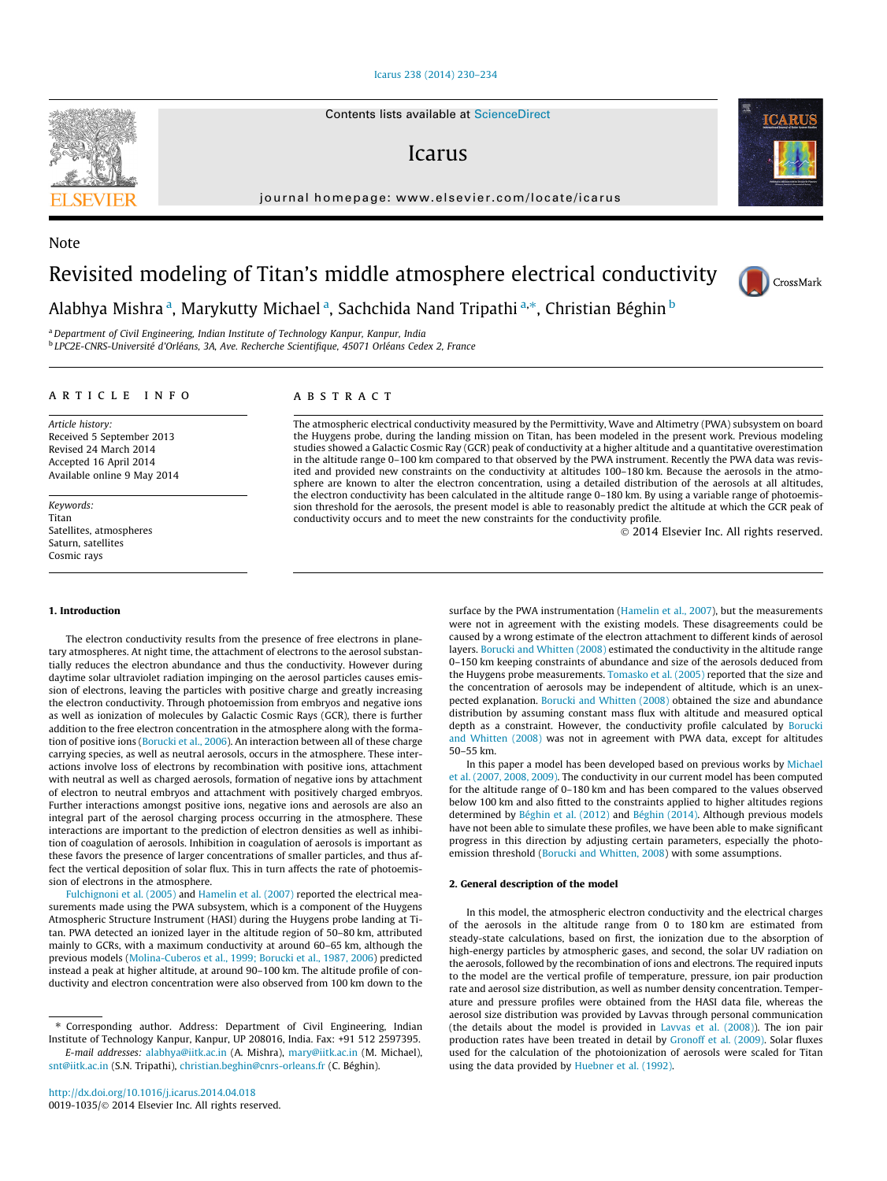# [Icarus 238 \(2014\) 230–234](http://dx.doi.org/10.1016/j.icarus.2014.04.018)

Contents lists available at [ScienceDirect](http://www.sciencedirect.com/science/journal/00191035)

# Icarus

journal homepage: [www.elsevier.com/locate/icarus](http://www.elsevier.com/locate/icarus)

# Revisited modeling of Titan's middle atmosphere electrical conductivity

Alabhya Mishra <sup>a</sup>, Marykutty Michael <sup>a</sup>, Sachchida Nand Tripathi <sup>a,</sup>\*, Christian Béghin <sup>b</sup>

<sup>a</sup> Department of Civil Engineering, Indian Institute of Technology Kanpur, Kanpur, India <sup>b</sup> LPC2E-CNRS-Université d'Orléans, 3A, Ave. Recherche Scientifique, 45071 Orléans Cedex 2, France

# article info

Article history: Received 5 September 2013 Revised 24 March 2014 Accepted 16 April 2014 Available online 9 May 2014

Keywords: Titan Satellites, atmospheres Saturn, satellites Cosmic rays

# 1. Introduction

The electron conductivity results from the presence of free electrons in planetary atmospheres. At night time, the attachment of electrons to the aerosol substantially reduces the electron abundance and thus the conductivity. However during daytime solar ultraviolet radiation impinging on the aerosol particles causes emission of electrons, leaving the particles with positive charge and greatly increasing the electron conductivity. Through photoemission from embryos and negative ions as well as ionization of molecules by Galactic Cosmic Rays (GCR), there is further addition to the free electron concentration in the atmosphere along with the formation of positive ions ([Borucki et al., 2006](#page-4-0)). An interaction between all of these charge carrying species, as well as neutral aerosols, occurs in the atmosphere. These interactions involve loss of electrons by recombination with positive ions, attachment with neutral as well as charged aerosols, formation of negative ions by attachment of electron to neutral embryos and attachment with positively charged embryos. Further interactions amongst positive ions, negative ions and aerosols are also an integral part of the aerosol charging process occurring in the atmosphere. These interactions are important to the prediction of electron densities as well as inhibition of coagulation of aerosols. Inhibition in coagulation of aerosols is important as these favors the presence of larger concentrations of smaller particles, and thus affect the vertical deposition of solar flux. This in turn affects the rate of photoemission of electrons in the atmosphere.

[Fulchignoni et al. \(2005\)](#page-4-0) and [Hamelin et al. \(2007\)](#page-4-0) reported the electrical measurements made using the PWA subsystem, which is a component of the Huygens Atmospheric Structure Instrument (HASI) during the Huygens probe landing at Titan. PWA detected an ionized layer in the altitude region of 50–80 km, attributed mainly to GCRs, with a maximum conductivity at around 60–65 km, although the previous models ([Molina-Cuberos et al., 1999; Borucki et al., 1987, 2006\)](#page-4-0) predicted instead a peak at higher altitude, at around 90–100 km. The altitude profile of conductivity and electron concentration were also observed from 100 km down to the

[snt@iitk.ac.in](mailto:snt@iitk.ac.in) (S.N. Tripathi), [christian.beghin@cnrs-orleans.fr](mailto:christian.beghin@cnrs-orleans.fr) (C. Béghin).

# **ABSTRACT**

The atmospheric electrical conductivity measured by the Permittivity, Wave and Altimetry (PWA) subsystem on board the Huygens probe, during the landing mission on Titan, has been modeled in the present work. Previous modeling studies showed a Galactic Cosmic Ray (GCR) peak of conductivity at a higher altitude and a quantitative overestimation in the altitude range 0–100 km compared to that observed by the PWA instrument. Recently the PWA data was revisited and provided new constraints on the conductivity at altitudes 100–180 km. Because the aerosols in the atmosphere are known to alter the electron concentration, using a detailed distribution of the aerosols at all altitudes, the electron conductivity has been calculated in the altitude range 0-180 km. By using a variable range of photoemission threshold for the aerosols, the present model is able to reasonably predict the altitude at which the GCR peak of conductivity occurs and to meet the new constraints for the conductivity profile.

- 2014 Elsevier Inc. All rights reserved.

surface by the PWA instrumentation [\(Hamelin et al., 2007](#page-4-0)), but the measurements were not in agreement with the existing models. These disagreements could be caused by a wrong estimate of the electron attachment to different kinds of aerosol layers. [Borucki and Whitten \(2008\)](#page-4-0) estimated the conductivity in the altitude range 0–150 km keeping constraints of abundance and size of the aerosols deduced from the Huygens probe measurements. [Tomasko et al. \(2005\)](#page-4-0) reported that the size and the concentration of aerosols may be independent of altitude, which is an unexpected explanation. [Borucki and Whitten \(2008\)](#page-4-0) obtained the size and abundance distribution by assuming constant mass flux with altitude and measured optical depth as a constraint. However, the conductivity profile calculated by [Borucki](#page-4-0) [and Whitten \(2008\)](#page-4-0) was not in agreement with PWA data, except for altitudes 50–55 km.

In this paper a model has been developed based on previous works by [Michael](#page-4-0) [et al. \(2007, 2008, 2009\)](#page-4-0). The conductivity in our current model has been computed for the altitude range of 0–180 km and has been compared to the values observed below 100 km and also fitted to the constraints applied to higher altitudes regions determined by [Béghin et al. \(2012\)](#page-4-0) and [Béghin \(2014\)](#page-4-0). Although previous models have not been able to simulate these profiles, we have been able to make significant progress in this direction by adjusting certain parameters, especially the photoemission threshold [\(Borucki and Whitten, 2008](#page-4-0)) with some assumptions.

#### 2. General description of the model

In this model, the atmospheric electron conductivity and the electrical charges of the aerosols in the altitude range from 0 to 180 km are estimated from steady-state calculations, based on first, the ionization due to the absorption of high-energy particles by atmospheric gases, and second, the solar UV radiation on the aerosols, followed by the recombination of ions and electrons. The required inputs to the model are the vertical profile of temperature, pressure, ion pair production rate and aerosol size distribution, as well as number density concentration. Temperature and pressure profiles were obtained from the HASI data file, whereas the aerosol size distribution was provided by Lavvas through personal communication (the details about the model is provided in [Lavvas et al. \(2008\)](#page-4-0)). The ion pair production rates have been treated in detail by [Gronoff et al. \(2009\)](#page-4-0). Solar fluxes used for the calculation of the photoionization of aerosols were scaled for Titan using the data provided by [Huebner et al. \(1992\)](#page-4-0).



Note





<sup>⇑</sup> Corresponding author. Address: Department of Civil Engineering, Indian Institute of Technology Kanpur, Kanpur, UP 208016, India. Fax: +91 512 2597395. E-mail addresses: [alabhya@iitk.ac.in](mailto:alabhya@iitk.ac.in) (A. Mishra), [mary@iitk.ac.in](mailto:mary@iitk.ac.in) (M. Michael),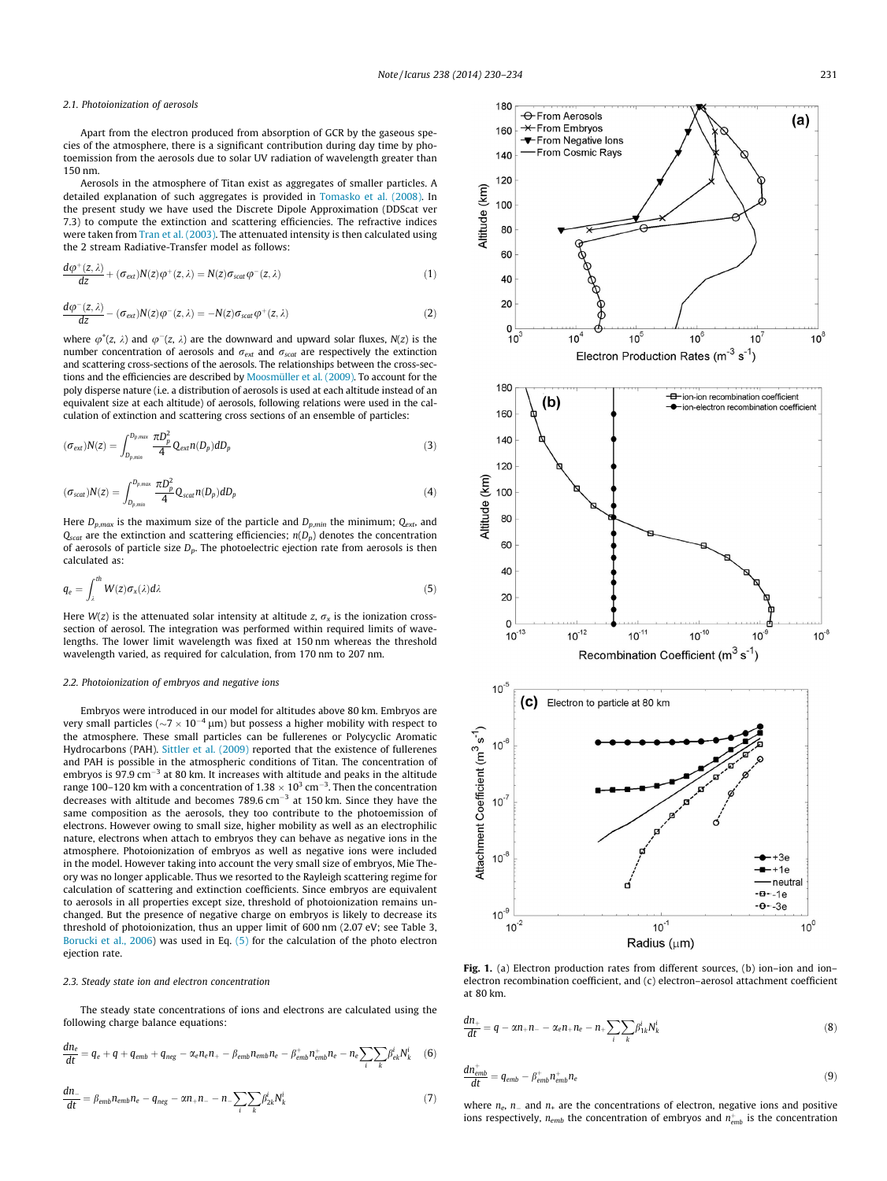#### <span id="page-1-0"></span>2.1. Photoionization of aerosols

Apart from the electron produced from absorption of GCR by the gaseous species of the atmosphere, there is a significant contribution during day time by photoemission from the aerosols due to solar UV radiation of wavelength greater than 150 nm.

Aerosols in the atmosphere of Titan exist as aggregates of smaller particles. A detailed explanation of such aggregates is provided in [Tomasko et al. \(2008\)](#page-4-0). In the present study we have used the Discrete Dipole Approximation (DDScat ver 7.3) to compute the extinction and scattering efficiencies. The refractive indices were taken from [Tran et al. \(2003\).](#page-4-0) The attenuated intensity is then calculated using the 2 stream Radiative-Transfer model as follows:

$$
\frac{d\varphi^+(z,\lambda)}{dz} + (\sigma_{\text{ext}})N(z)\varphi^+(z,\lambda) = N(z)\sigma_{\text{scat}}\varphi^-(z,\lambda)
$$
\n(1)

$$
\frac{d\varphi^-(z,\lambda)}{dz} - (\sigma_{ext})N(z)\varphi^-(z,\lambda) = -N(z)\sigma_{scat}\varphi^+(z,\lambda)
$$
 (2)

where  $\varphi^+(z, \lambda)$  and  $\varphi^-(z, \lambda)$  are the downward and upward solar fluxes,  $N(z)$  is the number concentration of aerosols and  $\sigma_{ext}$  and  $\sigma_{scat}$  are respectively the extinction and scattering cross-sections of the aerosols. The relationships between the cross-sections and the efficiencies are described by [Moosmüller et al. \(2009\).](#page-4-0) To account for the poly disperse nature (i.e. a distribution of aerosols is used at each altitude instead of an equivalent size at each altitude) of aerosols, following relations were used in the calculation of extinction and scattering cross sections of an ensemble of particles:

$$
(\sigma_{ext})N(z) = \int_{D_{p,min}}^{D_{p,max}} \frac{\pi D_p^2}{4} Q_{ext} n(D_p) dD_p
$$
\n(3)

$$
(\sigma_{scat})N(z) = \int_{D_{p,min}}^{D_{p,max}} \frac{\pi D_p^2}{4} Q_{scat} n(D_p) dD_p \tag{4}
$$

Here  $D_{p,max}$  is the maximum size of the particle and  $D_{p,min}$  the minimum;  $Q_{ext}$ , and  $Q_{scat}$  are the extinction and scattering efficiencies;  $n(D_p)$  denotes the concentration of aerosols of particle size  $D_p$ . The photoelectric ejection rate from aerosols is then calculated as:

$$
q_e = \int_{\lambda}^{th} W(z) \sigma_x(\lambda) d\lambda \tag{5}
$$

Here  $W(z)$  is the attenuated solar intensity at altitude z,  $\sigma_x$  is the ionization crosssection of aerosol. The integration was performed within required limits of wavelengths. The lower limit wavelength was fixed at 150 nm whereas the threshold wavelength varied, as required for calculation, from 170 nm to 207 nm.

#### 2.2. Photoionization of embryos and negative ions

Embryos were introduced in our model for altitudes above 80 km. Embryos are very small particles ( $\sim$ 7  $\times$  10<sup>-4</sup> µm) but possess a higher mobility with respect to the atmosphere. These small particles can be fullerenes or Polycyclic Aromatic Hydrocarbons (PAH). [Sittler et al. \(2009\)](#page-4-0) reported that the existence of fullerenes and PAH is possible in the atmospheric conditions of Titan. The concentration of embryos is 97.9  $\text{cm}^{-3}$  at 80 km. It increases with altitude and peaks in the altitude range 100–120 km with a concentration of 1.38  $\times$  10<sup>3</sup> cm<sup>-3</sup>. Then the concentration decreases with altitude and becomes  $789.6 \text{ cm}^{-3}$  at 150 km. Since they have the same composition as the aerosols, they too contribute to the photoemission of electrons. However owing to small size, higher mobility as well as an electrophilic nature, electrons when attach to embryos they can behave as negative ions in the atmosphere. Photoionization of embryos as well as negative ions were included in the model. However taking into account the very small size of embryos, Mie Theory was no longer applicable. Thus we resorted to the Rayleigh scattering regime for calculation of scattering and extinction coefficients. Since embryos are equivalent to aerosols in all properties except size, threshold of photoionization remains unchanged. But the presence of negative charge on embryos is likely to decrease its threshold of photoionization, thus an upper limit of 600 nm (2.07 eV; see Table 3, [Borucki et al., 2006](#page-4-0)) was used in Eq. (5) for the calculation of the photo electron ejection rate.

#### 2.3. Steady state ion and electron concentration

The steady state concentrations of ions and electrons are calculated using the following charge balance equations:

$$
\frac{dn_e}{dt} = q_e + q + q_{emb} + q_{neg} - \alpha_e n_e n_+ - \beta_{emb} n_{emb} n_e - \beta_{emb}^+ n_{emb}^+ n_e - n_e \sum_i \sum_k \beta_{ek}^i N_k^i \tag{6}
$$

$$
\frac{dn_{-}}{dt} = \beta_{emb} n_{emb} n_e - q_{neg} - \alpha n_+ n_- - n_- \sum_i \sum_k \beta_{2k}^i N_k^i
$$
\n(7)



Fig. 1. (a) Electron production rates from different sources, (b) ion–ion and ion– electron recombination coefficient, and (c) electron–aerosol attachment coefficient at 80 km.

$$
\frac{dn_+}{dt} = q - \alpha n_+ n_- - \alpha_e n_+ n_e - n_+ \sum_i \sum_k \beta_{ik}^i N_k^i
$$
\n(8)

$$
\frac{d\mathbf{n}_{\text{emb}}^+}{dt} = q_{\text{emb}} - \beta_{\text{emb}}^+ \mathbf{n}_{\text{emb}}^+ \mathbf{n}_e \tag{9}
$$

where  $n_e$ ,  $n_-$  and  $n_+$  are the concentrations of electron, negative ions and positive ions respectively,  $n_{emb}$  the concentration of embryos and  $n_{emb}^+$  is the concentration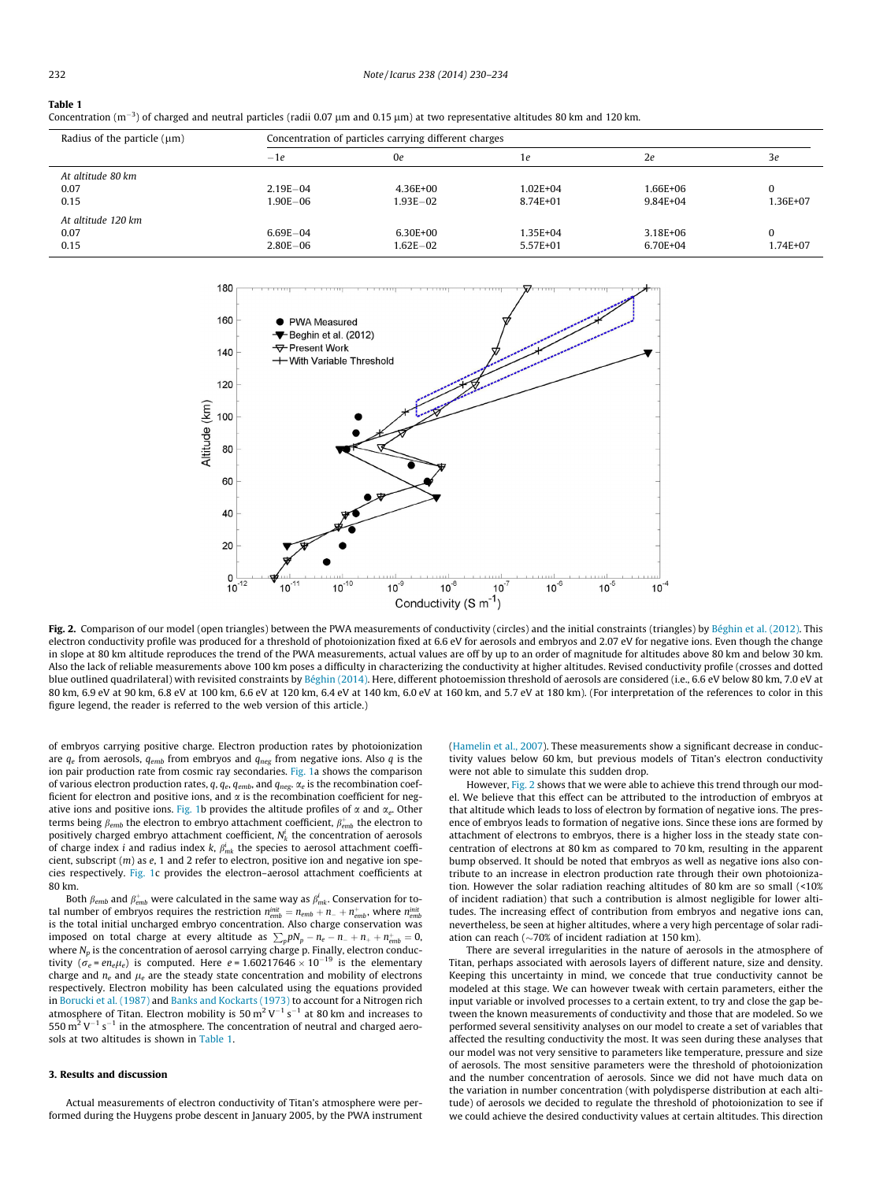#### <span id="page-2-0"></span>Table 1

|  | Concentration $(m^{-3})$ of charged and neutral particles (radii 0.07 $\mu$ m and 0.15 $\mu$ m) at two representative altitudes 80 km and 120 km. |
|--|---------------------------------------------------------------------------------------------------------------------------------------------------|
|--|---------------------------------------------------------------------------------------------------------------------------------------------------|

| Radius of the particle $(\mu m)$   | Concentration of particles carrying different charges |                          |                      |                      |                      |  |
|------------------------------------|-------------------------------------------------------|--------------------------|----------------------|----------------------|----------------------|--|
|                                    | $-1e$                                                 | 0e                       | 1e                   | 2e                   | 3e                   |  |
| At altitude 80 km<br>0.07<br>0.15  | $2.19E - 04$<br>$1.90E - 06$                          | 4.36E+00<br>1.93E-02     | 1.02E+04<br>8.74E+01 | 1.66E+06<br>9.84E+04 | 0<br>1.36E+07        |  |
| At altitude 120 km<br>0.07<br>0.15 | $6.69E - 04$<br>$2.80E - 06$                          | $6.30E + 00$<br>1.62E-02 | 1.35E+04<br>5.57E+01 | 3.18E+06<br>6.70E+04 | $\Omega$<br>1.74E+07 |  |



Fig. 2. Comparison of our model (open triangles) between the PWA measurements of conductivity (circles) and the initial constraints (triangles) by [Béghin et al. \(2012\).](#page-4-0) This electron conductivity profile was produced for a threshold of photoionization fixed at 6.6 eV for aerosols and embryos and 2.07 eV for negative ions. Even though the change in slope at 80 km altitude reproduces the trend of the PWA measurements, actual values are off by up to an order of magnitude for altitudes above 80 km and below 30 km. Also the lack of reliable measurements above 100 km poses a difficulty in characterizing the conductivity at higher altitudes. Revised conductivity profile (crosses and dotted blue outlined quadrilateral) with revisited constraints by [Béghin \(2014\).](#page-4-0) Here, different photoemission threshold of aerosols are considered (i.e., 6.6 eV below 80 km, 7.0 eV at 80 km, 6.9 eV at 90 km, 6.8 eV at 100 km, 6.6 eV at 120 km, 6.4 eV at 140 km, 6.0 eV at 160 km, and 5.7 eV at 180 km). (For interpretation of the references to color in this figure legend, the reader is referred to the web version of this article.)

of embryos carrying positive charge. Electron production rates by photoionization are  $q_e$  from aerosols,  $q_{emb}$  from embryos and  $q_{neg}$  from negative ions. Also q is the ion pair production rate from cosmic ray secondaries. [Fig. 1](#page-1-0)a shows the comparison of various electron production rates, q,  $q_e$ ,  $q_{emb}$ , and  $q_{neg}$ .  $\alpha_e$  is the recombination coefficient for electron and positive ions, and  $\alpha$  is the recombination coefficient for neg-ative ions and positive ions. [Fig. 1b](#page-1-0) provides the altitude profiles of  $\alpha$  and  $\alpha_e$ . Other terms being  $\beta_{emb}$  the electron to embryo attachment coefficient,  $\beta_{emb}^+$  the electron to positively charged embryo attachment coefficient,  $N^i_k$  the concentration of aerosols of charge index i and radius index k,  $\beta_{mk}^i$  the species to aerosol attachment coefficient, subscript  $(m)$  as  $e$ , 1 and 2 refer to electron, positive ion and negative ion species respectively. [Fig. 1](#page-1-0)c provides the electron–aerosol attachment coefficients at 80 km.

Both  $\beta_{emb}$  and  $\beta_{emb}^+$  were calculated in the same way as  $\beta_{mk}^i.$  Conservation for total number of embryos requires the restriction  $n_{emb}^{init} = n_{emb} + n_- + n_{emb}^+$ , where  $n_{emb}^{init}$ is the total initial uncharged embryo concentration. Also charge conservation was imposed on total charge at every altitude as  $\sum_{p} pN_{p} - n_{e} - n_{-} + n_{+} + n_{emb}^{+} = 0$ , where  $N_p$  is the concentration of aerosol carrying charge p. Finally, electron conductivity ( $\sigma_e$  = en<sub>e</sub> $\mu_e$ ) is computed. Here e = 1.60217646  $\times$  10<sup>-19</sup> is the elementary charge and  $n_e$  and  $\mu_e$  are the steady state concentration and mobility of electrons respectively. Electron mobility has been calculated using the equations provided in [Borucki et al. \(1987\)](#page-4-0) and [Banks and Kockarts \(1973\)](#page-4-0) to account for a Nitrogen rich atmosphere of Titan. Electron mobility is 50  $\mathrm{m^{2}\,V^{-1}\,s^{-1}}$  at 80 km and increases to 550  $\mathrm{m}^2$  V<sup>-1</sup> s<sup>-1</sup> in the atmosphere. The concentration of neutral and charged aerosols at two altitudes is shown in Table 1.

### 3. Results and discussion

Actual measurements of electron conductivity of Titan's atmosphere were performed during the Huygens probe descent in January 2005, by the PWA instrument [\(Hamelin et al., 2007\)](#page-4-0). These measurements show a significant decrease in conductivity values below 60 km, but previous models of Titan's electron conductivity were not able to simulate this sudden drop.

However, Fig. 2 shows that we were able to achieve this trend through our model. We believe that this effect can be attributed to the introduction of embryos at that altitude which leads to loss of electron by formation of negative ions. The presence of embryos leads to formation of negative ions. Since these ions are formed by attachment of electrons to embryos, there is a higher loss in the steady state concentration of electrons at 80 km as compared to 70 km, resulting in the apparent bump observed. It should be noted that embryos as well as negative ions also contribute to an increase in electron production rate through their own photoionization. However the solar radiation reaching altitudes of 80 km are so small (<10% of incident radiation) that such a contribution is almost negligible for lower altitudes. The increasing effect of contribution from embryos and negative ions can, nevertheless, be seen at higher altitudes, where a very high percentage of solar radiation can reach ( $\sim$ 70% of incident radiation at 150 km).

There are several irregularities in the nature of aerosols in the atmosphere of Titan, perhaps associated with aerosols layers of different nature, size and density. Keeping this uncertainty in mind, we concede that true conductivity cannot be modeled at this stage. We can however tweak with certain parameters, either the input variable or involved processes to a certain extent, to try and close the gap between the known measurements of conductivity and those that are modeled. So we performed several sensitivity analyses on our model to create a set of variables that affected the resulting conductivity the most. It was seen during these analyses that our model was not very sensitive to parameters like temperature, pressure and size of aerosols. The most sensitive parameters were the threshold of photoionization and the number concentration of aerosols. Since we did not have much data on the variation in number concentration (with polydisperse distribution at each altitude) of aerosols we decided to regulate the threshold of photoionization to see if we could achieve the desired conductivity values at certain altitudes. This direction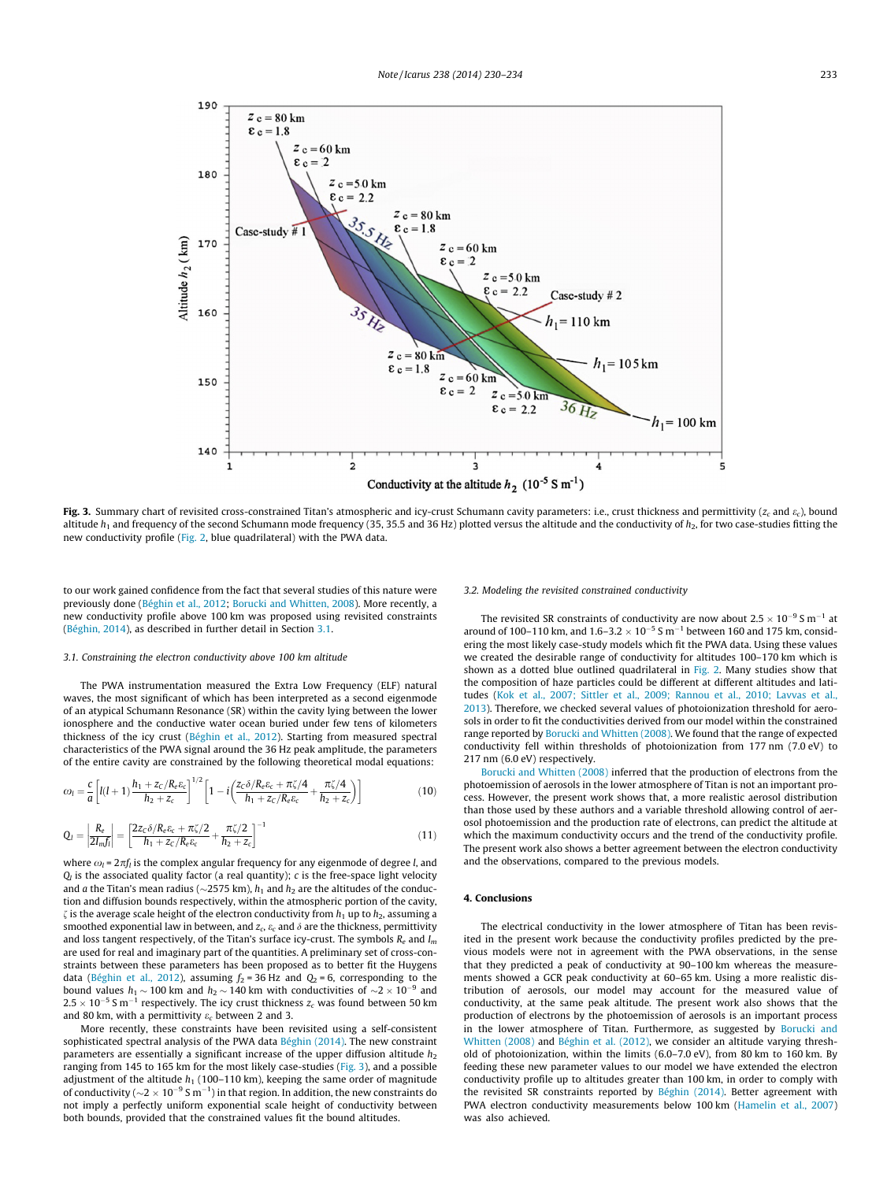

Fig. 3. Summary chart of revisited cross-constrained Titan's atmospheric and icy-crust Schumann cavity parameters: i.e., crust thickness and permittivity ( $z_c$  and  $\varepsilon_c$ ), bound altitude  $h_1$  and frequency of the second Schumann mode frequency (35, 35.5 and 36 Hz) plotted versus the altitude and the conductivity of  $h_2$ , for two case-studies fitting the new conductivity profile ([Fig. 2](#page-2-0), blue quadrilateral) with the PWA data.

to our work gained confidence from the fact that several studies of this nature were previously done ([Béghin et al., 2012;](#page-4-0) [Borucki and Whitten, 2008](#page-4-0)). More recently, a new conductivity profile above 100 km was proposed using revisited constraints ([Béghin, 2014\)](#page-4-0), as described in further detail in Section 3.1.

#### 3.1. Constraining the electron conductivity above 100 km altitude

The PWA instrumentation measured the Extra Low Frequency (ELF) natural waves, the most significant of which has been interpreted as a second eigenmode of an atypical Schumann Resonance (SR) within the cavity lying between the lower ionosphere and the conductive water ocean buried under few tens of kilometers thickness of the icy crust [\(Béghin et al., 2012](#page-4-0)). Starting from measured spectral characteristics of the PWA signal around the 36 Hz peak amplitude, the parameters of the entire cavity are constrained by the following theoretical modal equations:

$$
\omega_l = \frac{c}{a} \left[ l(l+1) \frac{h_1 + z_c/R_e \varepsilon_c}{h_2 + z_c} \right]^{1/2} \left[ 1 - i \left( \frac{z_c \delta/R_e \varepsilon_c + \pi \zeta / 4}{h_1 + z_c/R_e \varepsilon_c} + \frac{\pi \zeta / 4}{h_2 + z_c} \right) \right]
$$
(10)

$$
Q_{l} = \left| \frac{R_e}{2I_m f_l} \right| = \left[ \frac{2z_c \delta / R_e \varepsilon_c + \pi \zeta / 2}{h_1 + z_c / R_e \varepsilon_c} + \frac{\pi \zeta / 2}{h_2 + z_c} \right]^{-1}
$$
(11)

where  $\omega_l = 2\pi f_l$  is the complex angular frequency for any eigenmode of degree *l*, and  $Q_l$  is the associated quality factor (a real quantity);  $c$  is the free-space light velocity and *a* the Titan's mean radius ( $\sim$ 2575 km),  $h_1$  and  $h_2$  are the altitudes of the conduction and diffusion bounds respectively, within the atmospheric portion of the cavity,  $\zeta$  is the average scale height of the electron conductivity from  $h_1$  up to  $h_2$ , assuming a smoothed exponential law in between, and  $z_c$ ,  $\varepsilon_c$  and  $\delta$  are the thickness, permittivity and loss tangent respectively, of the Titan's surface icy-crust. The symbols  $R_e$  and  $I_m$ are used for real and imaginary part of the quantities. A preliminary set of cross-constraints between these parameters has been proposed as to better fit the Huygens data [\(Béghin et al., 2012\)](#page-4-0), assuming  $f_2 = 36$  Hz and  $Q_2 = 6$ , corresponding to the bound values  $h_1 \sim 100$  km and  $h_2 \sim 140$  km with conductivities of  $\sim$ 2  $\times$  10<sup>-9</sup> and  $2.5\times10^{-5}$  S m $^{-1}$  respectively. The icy crust thickness  $z_c$  was found between 50 km and 80 km, with a permittivity  $\varepsilon_c$  between 2 and 3.

More recently, these constraints have been revisited using a self-consistent sophisticated spectral analysis of the PWA data [Béghin \(2014\)](#page-4-0). The new constraint parameters are essentially a significant increase of the upper diffusion altitude  $h_2$ ranging from 145 to 165 km for the most likely case-studies (Fig. 3), and a possible adjustment of the altitude  $h_1$  (100–110 km), keeping the same order of magnitude of conductivity ( ${\sim}2 \times 10^{-9}$  S m $^{-1})$  in that region. In addition, the new constraints do not imply a perfectly uniform exponential scale height of conductivity between both bounds, provided that the constrained values fit the bound altitudes.

#### 3.2. Modeling the revisited constrained conductivity

The revisited SR constraints of conductivity are now about 2.5  $\times$  10<sup>-9</sup> S m<sup>-1</sup> at around of 100–110 km, and  $1.6 - 3.2 \times 10^{-5}$  S m<sup>-1</sup> between 160 and 175 km, considering the most likely case-study models which fit the PWA data. Using these values we created the desirable range of conductivity for altitudes 100–170 km which is shown as a dotted blue outlined quadrilateral in [Fig. 2](#page-2-0). Many studies show that the composition of haze particles could be different at different altitudes and latitudes ([Kok et al., 2007; Sittler et al., 2009; Rannou et al., 2010; Lavvas et al.,](#page-4-0) [2013\)](#page-4-0). Therefore, we checked several values of photoionization threshold for aerosols in order to fit the conductivities derived from our model within the constrained range reported by [Borucki and Whitten \(2008\)](#page-4-0). We found that the range of expected conductivity fell within thresholds of photoionization from 177 nm (7.0 eV) to 217 nm (6.0 eV) respectively.

[Borucki and Whitten \(2008\)](#page-4-0) inferred that the production of electrons from the photoemission of aerosols in the lower atmosphere of Titan is not an important process. However, the present work shows that, a more realistic aerosol distribution than those used by these authors and a variable threshold allowing control of aerosol photoemission and the production rate of electrons, can predict the altitude at which the maximum conductivity occurs and the trend of the conductivity profile. The present work also shows a better agreement between the electron conductivity and the observations, compared to the previous models.

#### 4. Conclusions

The electrical conductivity in the lower atmosphere of Titan has been revisited in the present work because the conductivity profiles predicted by the previous models were not in agreement with the PWA observations, in the sense that they predicted a peak of conductivity at 90–100 km whereas the measurements showed a GCR peak conductivity at 60–65 km. Using a more realistic distribution of aerosols, our model may account for the measured value of conductivity, at the same peak altitude. The present work also shows that the production of electrons by the photoemission of aerosols is an important process in the lower atmosphere of Titan. Furthermore, as suggested by [Borucki and](#page-4-0) [Whitten \(2008\)](#page-4-0) and [Béghin et al. \(2012\)](#page-4-0), we consider an altitude varying threshold of photoionization, within the limits (6.0–7.0 eV), from 80 km to 160 km. By feeding these new parameter values to our model we have extended the electron conductivity profile up to altitudes greater than 100 km, in order to comply with the revisited SR constraints reported by [Béghin \(2014\)](#page-4-0). Better agreement with PWA electron conductivity measurements below 100 km ([Hamelin et al., 2007](#page-4-0)) was also achieved.